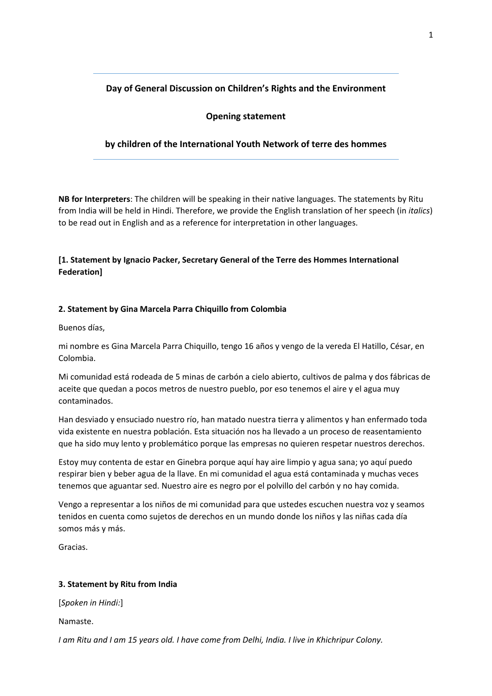# **Day of General Discussion on Children's Rights and the Environment**

### **Opening statement**

### **by children of the International Youth Network of terre des hommes**

**NB for Interpreters**: The children will be speaking in their native languages. The statements by Ritu from India will be held in Hindi. Therefore, we provide the English translation of her speech (in *italics*) to be read out in English and as a reference for interpretation in other languages.

## **[1. Statement by Ignacio Packer, Secretary General of the Terre des Hommes International Federation]**

### **2. Statement by Gina Marcela Parra Chiquillo from Colombia**

Buenos días,

mi nombre es Gina Marcela Parra Chiquillo, tengo 16 años y vengo de la vereda El Hatillo, César, en Colombia.

Mi comunidad está rodeada de 5 minas de carbón a cielo abierto, cultivos de palma y dos fábricas de aceite que quedan a pocos metros de nuestro pueblo, por eso tenemos el aire y el agua muy contaminados.

Han desviado y ensuciado nuestro río, han matado nuestra tierra y alimentos y han enfermado toda vida existente en nuestra población. Esta situación nos ha llevado a un proceso de reasentamiento que ha sido muy lento y problemático porque las empresas no quieren respetar nuestros derechos.

Estoy muy contenta de estar en Ginebra porque aquí hay aire limpio y agua sana; yo aquí puedo respirar bien y beber agua de la llave. En mi comunidad el agua está contaminada y muchas veces tenemos que aguantar sed. Nuestro aire es negro por el polvillo del carbón y no hay comida.

Vengo a representar a los niños de mi comunidad para que ustedes escuchen nuestra voz y seamos tenidos en cuenta como sujetos de derechos en un mundo donde los niños y las niñas cada día somos más y más.

Gracias.

### **3. Statement by Ritu from India**

[*Spoken in Hindi:*]

Namaste.

I am Ritu and I am 15 years old. I have come from Delhi, India. I live in Khichripur Colony.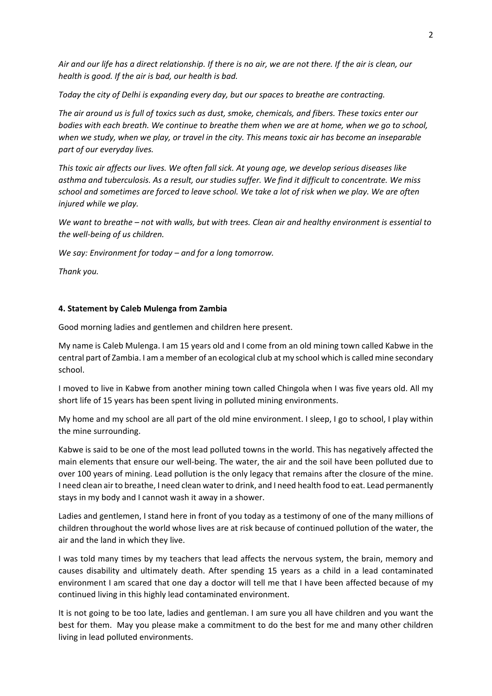Air and our life has a direct relationship. If there is no air, we are not there. If the air is clean, our *health is good. If the air is bad, our health is bad.* 

*Today the city of Delhi is expanding every day, but our spaces to breathe are contracting.* 

The air around us is full of toxics such as dust, smoke, chemicals, and fibers. These toxics enter our bodies with each breath. We continue to breathe them when we are at home, when we go to school, when we study, when we play, or travel in the city. This means toxic air has become an inseparable *part of our everyday lives.*

This toxic air affects our lives. We often fall sick. At young age, we develop serious diseases like *asthma and tuberculosis. As a result, our studies suffer. We find it difficult to concentrate. We miss* school and sometimes are forced to leave school. We take a lot of risk when we play. We are often *injured while we play.* 

We want to breathe - not with walls, but with trees. Clean air and healthy environment is essential to *the well‐being of us children.* 

*We say: Environment for today – and for a long tomorrow.*

*Thank you.*

#### **4. Statement by Caleb Mulenga from Zambia**

Good morning ladies and gentlemen and children here present.

My name is Caleb Mulenga. I am 15 years old and I come from an old mining town called Kabwe in the central part of Zambia. I am a member of an ecological club at my school which is called mine secondary school.

I moved to live in Kabwe from another mining town called Chingola when I was five years old. All my short life of 15 years has been spent living in polluted mining environments.

My home and my school are all part of the old mine environment. I sleep, I go to school, I play within the mine surrounding.

Kabwe is said to be one of the most lead polluted towns in the world. This has negatively affected the main elements that ensure our well‐being. The water, the air and the soil have been polluted due to over 100 years of mining. Lead pollution is the only legacy that remains after the closure of the mine. I need clean air to breathe, I need clean water to drink, and I need health food to eat. Lead permanently stays in my body and I cannot wash it away in a shower.

Ladies and gentlemen, I stand here in front of you today as a testimony of one of the many millions of children throughout the world whose lives are at risk because of continued pollution of the water, the air and the land in which they live.

I was told many times by my teachers that lead affects the nervous system, the brain, memory and causes disability and ultimately death. After spending 15 years as a child in a lead contaminated environment I am scared that one day a doctor will tell me that I have been affected because of my continued living in this highly lead contaminated environment.

It is not going to be too late, ladies and gentleman. I am sure you all have children and you want the best for them. May you please make a commitment to do the best for me and many other children living in lead polluted environments.